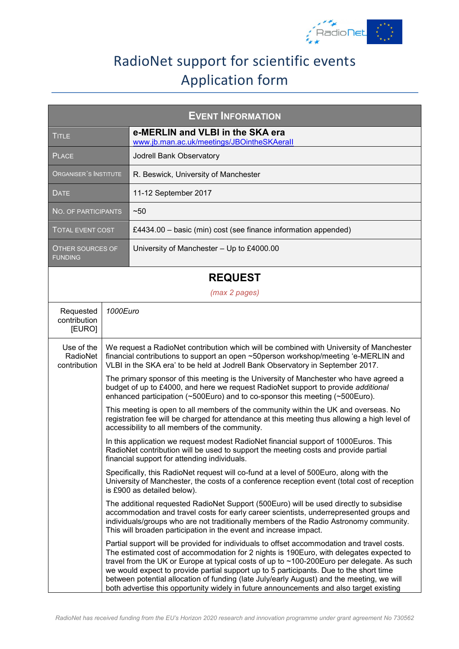

## RadioNet support for scientific events Application form

| <b>EVENT INFORMATION</b>                  |                                                                                                                                                                                                                                        |                                                                                                                                                                                                                                                                                                                                                                                                                                                                                                                                                                      |  |  |  |
|-------------------------------------------|----------------------------------------------------------------------------------------------------------------------------------------------------------------------------------------------------------------------------------------|----------------------------------------------------------------------------------------------------------------------------------------------------------------------------------------------------------------------------------------------------------------------------------------------------------------------------------------------------------------------------------------------------------------------------------------------------------------------------------------------------------------------------------------------------------------------|--|--|--|
| <b>TITLE</b>                              |                                                                                                                                                                                                                                        | e-MERLIN and VLBI in the SKA era<br>www.jb.man.ac.uk/meetings/JBOintheSKAerall                                                                                                                                                                                                                                                                                                                                                                                                                                                                                       |  |  |  |
| <b>PLACE</b>                              |                                                                                                                                                                                                                                        | Jodrell Bank Observatory                                                                                                                                                                                                                                                                                                                                                                                                                                                                                                                                             |  |  |  |
| ORGANISER'S INSTITUTE                     |                                                                                                                                                                                                                                        | R. Beswick, University of Manchester                                                                                                                                                                                                                                                                                                                                                                                                                                                                                                                                 |  |  |  |
| <b>DATE</b>                               |                                                                                                                                                                                                                                        | 11-12 September 2017                                                                                                                                                                                                                                                                                                                                                                                                                                                                                                                                                 |  |  |  |
| <b>NO. OF PARTICIPANTS</b>                |                                                                                                                                                                                                                                        | ~50                                                                                                                                                                                                                                                                                                                                                                                                                                                                                                                                                                  |  |  |  |
| <b>TOTAL EVENT COST</b>                   |                                                                                                                                                                                                                                        | £4434.00 - basic (min) cost (see finance information appended)                                                                                                                                                                                                                                                                                                                                                                                                                                                                                                       |  |  |  |
| <b>OTHER SOURCES OF</b><br><b>FUNDING</b> |                                                                                                                                                                                                                                        | University of Manchester - Up to £4000.00                                                                                                                                                                                                                                                                                                                                                                                                                                                                                                                            |  |  |  |
|                                           | <b>REQUEST</b>                                                                                                                                                                                                                         |                                                                                                                                                                                                                                                                                                                                                                                                                                                                                                                                                                      |  |  |  |
|                                           |                                                                                                                                                                                                                                        | (max 2 pages)                                                                                                                                                                                                                                                                                                                                                                                                                                                                                                                                                        |  |  |  |
| Requested<br>contribution<br>[EURO]       | 1000Euro                                                                                                                                                                                                                               |                                                                                                                                                                                                                                                                                                                                                                                                                                                                                                                                                                      |  |  |  |
| Use of the<br>RadioNet<br>contribution    |                                                                                                                                                                                                                                        | We request a RadioNet contribution which will be combined with University of Manchester<br>financial contributions to support an open ~50person workshop/meeting 'e-MERLIN and<br>VLBI in the SKA era' to be held at Jodrell Bank Observatory in September 2017.                                                                                                                                                                                                                                                                                                     |  |  |  |
|                                           |                                                                                                                                                                                                                                        | The primary sponsor of this meeting is the University of Manchester who have agreed a<br>budget of up to £4000, and here we request RadioNet support to provide additional<br>enhanced participation (~500Euro) and to co-sponsor this meeting (~500Euro).                                                                                                                                                                                                                                                                                                           |  |  |  |
|                                           | This meeting is open to all members of the community within the UK and overseas. No<br>registration fee will be charged for attendance at this meeting thus allowing a high level of<br>accessibility to all members of the community. |                                                                                                                                                                                                                                                                                                                                                                                                                                                                                                                                                                      |  |  |  |
|                                           |                                                                                                                                                                                                                                        | In this application we request modest RadioNet financial support of 1000Euros. This<br>RadioNet contribution will be used to support the meeting costs and provide partial<br>financial support for attending individuals.                                                                                                                                                                                                                                                                                                                                           |  |  |  |
|                                           |                                                                                                                                                                                                                                        | Specifically, this RadioNet request will co-fund at a level of 500Euro, along with the<br>University of Manchester, the costs of a conference reception event (total cost of reception<br>is £900 as detailed below).                                                                                                                                                                                                                                                                                                                                                |  |  |  |
|                                           |                                                                                                                                                                                                                                        | The additional requested RadioNet Support (500Euro) will be used directly to subsidise<br>accommodation and travel costs for early career scientists, underrepresented groups and<br>individuals/groups who are not traditionally members of the Radio Astronomy community.<br>This will broaden participation in the event and increase impact.                                                                                                                                                                                                                     |  |  |  |
|                                           |                                                                                                                                                                                                                                        | Partial support will be provided for individuals to offset accommodation and travel costs.<br>The estimated cost of accommodation for 2 nights is 190Euro, with delegates expected to<br>travel from the UK or Europe at typical costs of up to ~100-200Euro per delegate. As such<br>we would expect to provide partial support up to 5 participants. Due to the short time<br>between potential allocation of funding (late July/early August) and the meeting, we will<br>both advertise this opportunity widely in future announcements and also target existing |  |  |  |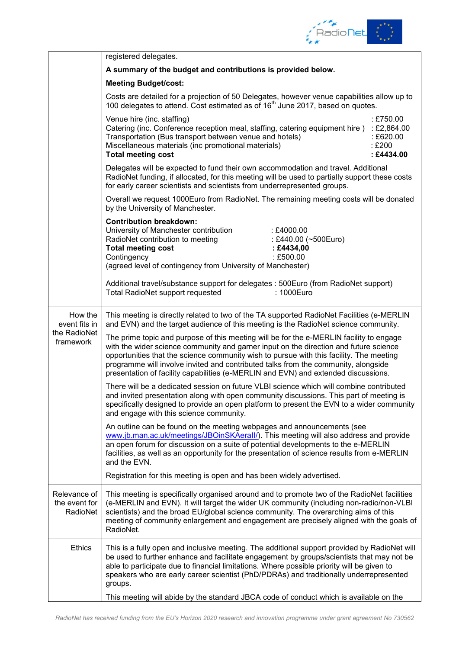

|                                                       | registered delegates.                                                                                                                                                                                                                                                                                                                                                                        |                                              |  |  |  |  |
|-------------------------------------------------------|----------------------------------------------------------------------------------------------------------------------------------------------------------------------------------------------------------------------------------------------------------------------------------------------------------------------------------------------------------------------------------------------|----------------------------------------------|--|--|--|--|
|                                                       | A summary of the budget and contributions is provided below.                                                                                                                                                                                                                                                                                                                                 |                                              |  |  |  |  |
|                                                       | <b>Meeting Budget/cost:</b>                                                                                                                                                                                                                                                                                                                                                                  |                                              |  |  |  |  |
|                                                       | Costs are detailed for a projection of 50 Delegates, however venue capabilities allow up to<br>100 delegates to attend. Cost estimated as of 16 <sup>th</sup> June 2017, based on quotes.                                                                                                                                                                                                    |                                              |  |  |  |  |
|                                                       | Venue hire (inc. staffing)<br>Catering (inc. Conference reception meal, staffing, catering equipment hire) : £2,864.00<br>Transportation (Bus transport between venue and hotels)<br>Miscellaneous materials (inc promotional materials)<br><b>Total meeting cost</b>                                                                                                                        | : £750.00<br>: £620.00<br>:£200<br>:£4434.00 |  |  |  |  |
|                                                       | Delegates will be expected to fund their own accommodation and travel. Additional<br>RadioNet funding, if allocated, for this meeting will be used to partially support these costs<br>for early career scientists and scientists from underrepresented groups.                                                                                                                              |                                              |  |  |  |  |
|                                                       | Overall we request 1000Euro from RadioNet. The remaining meeting costs will be donated<br>by the University of Manchester.                                                                                                                                                                                                                                                                   |                                              |  |  |  |  |
|                                                       | <b>Contribution breakdown:</b><br>University of Manchester contribution<br>:£4000.00<br>RadioNet contribution to meeting<br>: £440.00 (~500Euro)<br><b>Total meeting cost</b><br>: £4434,00<br>Contingency<br>: £500.00<br>(agreed level of contingency from University of Manchester)                                                                                                       |                                              |  |  |  |  |
|                                                       | Additional travel/substance support for delegates : 500Euro (from RadioNet support)<br>Total RadioNet support requested<br>: 1000Euro                                                                                                                                                                                                                                                        |                                              |  |  |  |  |
| How the<br>event fits in<br>the RadioNet<br>framework | This meeting is directly related to two of the TA supported RadioNet Facilities (e-MERLIN<br>and EVN) and the target audience of this meeting is the RadioNet science community.<br>The prime topic and purpose of this meeting will be for the e-MERLIN facility to engage                                                                                                                  |                                              |  |  |  |  |
|                                                       | with the wider science community and garner input on the direction and future science<br>opportunities that the science community wish to pursue with this facility. The meeting<br>programme will involve invited and contributed talks from the community, alongside<br>presentation of facility capabilities (e-MERLIN and EVN) and extended discussions.                                 |                                              |  |  |  |  |
|                                                       | There will be a dedicated session on future VLBI science which will combine contributed<br>and invited presentation along with open community discussions. This part of meeting is<br>specifically designed to provide an open platform to present the EVN to a wider community<br>and engage with this science community.                                                                   |                                              |  |  |  |  |
|                                                       | An outline can be found on the meeting webpages and announcements (see<br>www.jb.man.ac.uk/meetings/JBOinSKAerall/). This meeting will also address and provide<br>an open forum for discussion on a suite of potential developments to the e-MERLIN<br>facilities, as well as an opportunity for the presentation of science results from e-MERLIN<br>and the EVN.                          |                                              |  |  |  |  |
|                                                       | Registration for this meeting is open and has been widely advertised.                                                                                                                                                                                                                                                                                                                        |                                              |  |  |  |  |
| Relevance of<br>the event for<br>RadioNet             | This meeting is specifically organised around and to promote two of the RadioNet facilities<br>(e-MERLIN and EVN). It will target the wider UK community (including non-radio/non-VLBI<br>scientists) and the broad EU/global science community. The overarching aims of this<br>meeting of community enlargement and engagement are precisely aligned with the goals of<br>RadioNet.        |                                              |  |  |  |  |
| <b>Ethics</b>                                         | This is a fully open and inclusive meeting. The additional support provided by RadioNet will<br>be used to further enhance and facilitate engagement by groups/scientists that may not be<br>able to participate due to financial limitations. Where possible priority will be given to<br>speakers who are early career scientist (PhD/PDRAs) and traditionally underrepresented<br>groups. |                                              |  |  |  |  |
|                                                       | This meeting will abide by the standard JBCA code of conduct which is available on the                                                                                                                                                                                                                                                                                                       |                                              |  |  |  |  |